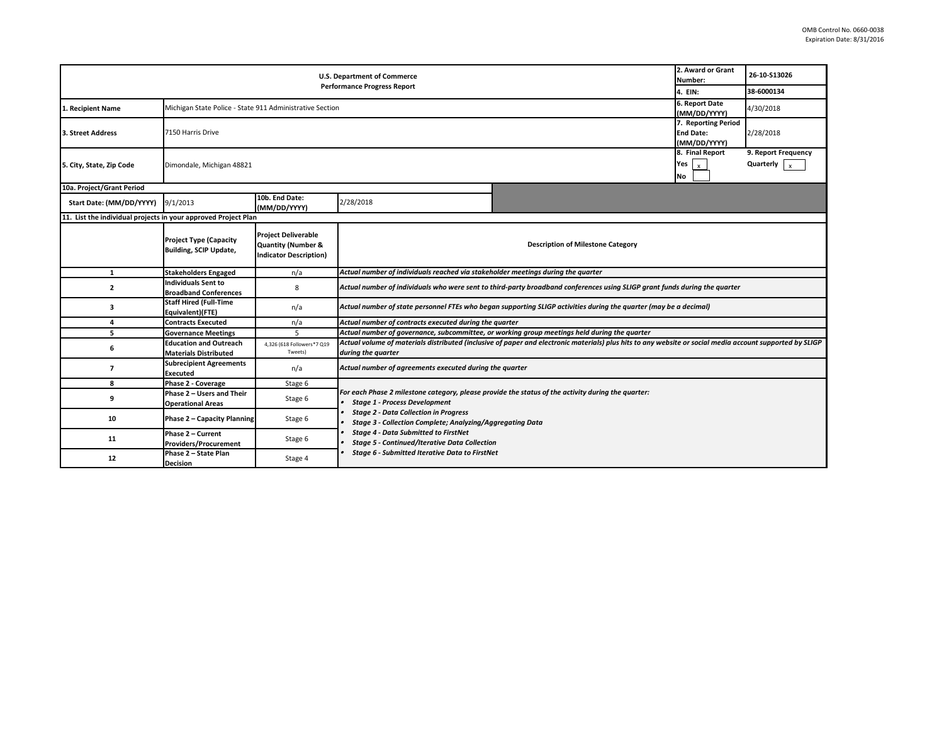| 2. Award or Grant<br><b>U.S. Department of Commerce</b><br>Number:<br><b>Performance Progress Report</b><br>4. EIN: |                                                                |                                                                                              |                                                                                                                                                                                                                                                                                                                                                                |  |  | 26-10-S13026                     |  |  |  |
|---------------------------------------------------------------------------------------------------------------------|----------------------------------------------------------------|----------------------------------------------------------------------------------------------|----------------------------------------------------------------------------------------------------------------------------------------------------------------------------------------------------------------------------------------------------------------------------------------------------------------------------------------------------------------|--|--|----------------------------------|--|--|--|
|                                                                                                                     |                                                                |                                                                                              |                                                                                                                                                                                                                                                                                                                                                                |  |  | 38-6000134                       |  |  |  |
| 1. Recipient Name                                                                                                   | Michigan State Police - State 911 Administrative Section       | 6. Report Date<br>(MM/DD/YYYY)                                                               | 4/30/2018                                                                                                                                                                                                                                                                                                                                                      |  |  |                                  |  |  |  |
| 3. Street Address                                                                                                   | 7150 Harris Drive                                              |                                                                                              |                                                                                                                                                                                                                                                                                                                                                                |  |  | 2/28/2018                        |  |  |  |
| 5. City, State, Zip Code                                                                                            | Dimondale, Michigan 48821                                      |                                                                                              |                                                                                                                                                                                                                                                                                                                                                                |  |  | 9. Report Frequency<br>Quarterly |  |  |  |
| 10a. Project/Grant Period                                                                                           |                                                                |                                                                                              |                                                                                                                                                                                                                                                                                                                                                                |  |  |                                  |  |  |  |
| Start Date: (MM/DD/YYYY)                                                                                            | 9/1/2013                                                       | 10b. End Date:<br>(MM/DD/YYYY)                                                               | 2/28/2018                                                                                                                                                                                                                                                                                                                                                      |  |  |                                  |  |  |  |
|                                                                                                                     | 11. List the individual projects in your approved Project Plan |                                                                                              |                                                                                                                                                                                                                                                                                                                                                                |  |  |                                  |  |  |  |
|                                                                                                                     | <b>Project Type (Capacity</b><br><b>Building, SCIP Update,</b> | <b>Project Deliverable</b><br><b>Quantity (Number &amp;</b><br><b>Indicator Description)</b> | <b>Description of Milestone Category</b>                                                                                                                                                                                                                                                                                                                       |  |  |                                  |  |  |  |
| 1                                                                                                                   | <b>Stakeholders Engaged</b>                                    | n/a                                                                                          | Actual number of individuals reached via stakeholder meetings during the quarter                                                                                                                                                                                                                                                                               |  |  |                                  |  |  |  |
| $\overline{2}$                                                                                                      | <b>Individuals Sent to</b><br><b>Broadband Conferences</b>     | 8                                                                                            | Actual number of individuals who were sent to third-party broadband conferences using SLIGP grant funds during the quarter                                                                                                                                                                                                                                     |  |  |                                  |  |  |  |
| 3                                                                                                                   | <b>Staff Hired (Full-Time</b><br>Equivalent)(FTE)              | n/a                                                                                          | Actual number of state personnel FTEs who began supporting SLIGP activities during the quarter (may be a decimal)                                                                                                                                                                                                                                              |  |  |                                  |  |  |  |
| 4                                                                                                                   | <b>Contracts Executed</b>                                      | n/a                                                                                          | Actual number of contracts executed during the quarter                                                                                                                                                                                                                                                                                                         |  |  |                                  |  |  |  |
| 5                                                                                                                   | <b>Governance Meetings</b>                                     | 5                                                                                            | Actual number of governance, subcommittee, or working group meetings held during the quarter                                                                                                                                                                                                                                                                   |  |  |                                  |  |  |  |
| 6                                                                                                                   | <b>Education and Outreach</b><br><b>Materials Distributed</b>  | 4,326 (618 Followers*7 Q19<br>Tweets)                                                        | Actual volume of materials distributed (inclusive of paper and electronic materials) plus hits to any website or social media account supported by SLIGP<br>during the quarter                                                                                                                                                                                 |  |  |                                  |  |  |  |
| $\overline{7}$                                                                                                      | <b>Subrecipient Agreements</b><br>Executed                     | n/a                                                                                          | Actual number of agreements executed during the quarter                                                                                                                                                                                                                                                                                                        |  |  |                                  |  |  |  |
| 8                                                                                                                   | Phase 2 - Coverage                                             | Stage 6                                                                                      |                                                                                                                                                                                                                                                                                                                                                                |  |  |                                  |  |  |  |
| 9                                                                                                                   | Phase 2 - Users and Their<br><b>Operational Areas</b>          | Stage 6                                                                                      | For each Phase 2 milestone category, please provide the status of the activity during the quarter:<br><b>Stage 1 - Process Development</b><br><b>Stage 2 - Data Collection in Progress</b><br>Stage 3 - Collection Complete; Analyzing/Aggregating Data<br><b>Stage 4 - Data Submitted to FirstNet</b><br><b>Stage 5 - Continued/Iterative Data Collection</b> |  |  |                                  |  |  |  |
| 10                                                                                                                  | Phase 2 - Capacity Planning                                    | Stage 6                                                                                      |                                                                                                                                                                                                                                                                                                                                                                |  |  |                                  |  |  |  |
| 11                                                                                                                  | Phase 2 - Current<br><b>Providers/Procurement</b>              | Stage 6                                                                                      |                                                                                                                                                                                                                                                                                                                                                                |  |  |                                  |  |  |  |
| 12                                                                                                                  | Phase 2 - State Plan<br><b>Decision</b>                        | Stage 4                                                                                      | Stage 6 - Submitted Iterative Data to FirstNet                                                                                                                                                                                                                                                                                                                 |  |  |                                  |  |  |  |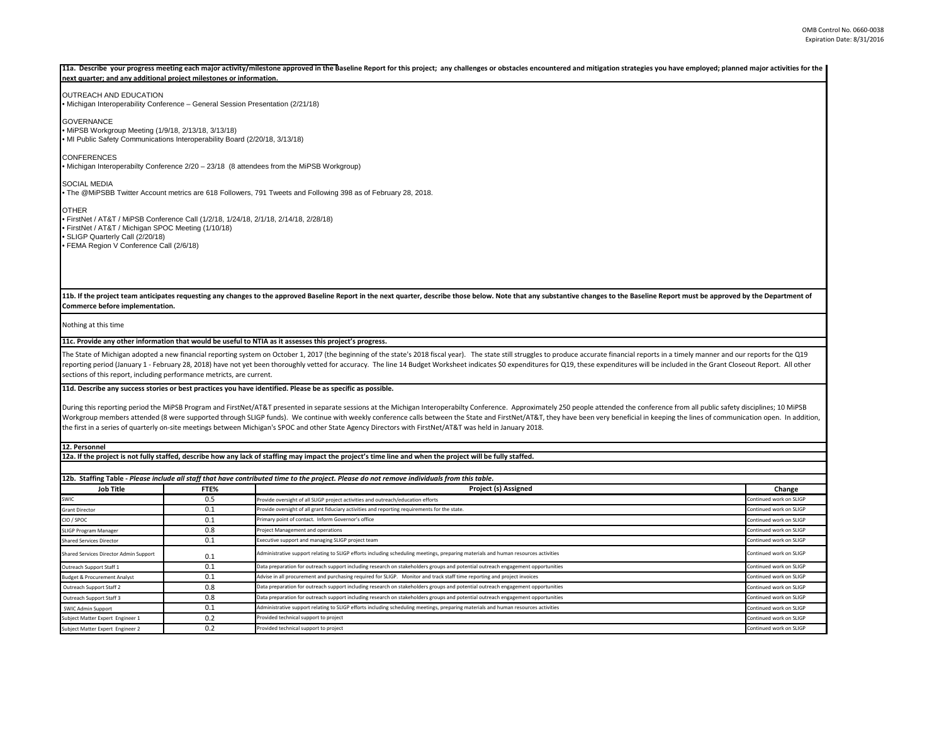### 11a. Describe your progress meeting each major activity/milestone approved in the Baseline Report for this project; any challenges or obstacles encountered and mitigation strategies you have employed; planned major activit **next quarter; and any additional project milestones or information.**

# OUTREACH AND EDUCATION

• Michigan Interoperability Conference – General Session Presentation (2/21/18)

**GOVERNANCE** • MiPSB Workgroup Meeting (1/9/18, 2/13/18, 3/13/18) • MI Public Safety Communications Interoperability Board (2/20/18, 3/13/18)

CONFERENCES

• Michigan Interoperabilty Conference 2/20 – 23/18 (8 attendees from the MiPSB Workgroup)

SOCIAL MEDIA

• The @MiPSBB Twitter Account metrics are 618 Followers, 791 Tweets and Following 398 as of February 28, 2018.

**OTHER** 

• FirstNet / AT&T / MiPSB Conference Call (1/2/18, 1/24/18, 2/1/18, 2/14/18, 2/28/18) • FirstNet / AT&T / Michigan SPOC Meeting (1/10/18) • SLIGP Quarterly Call (2/20/18) • FEMA Region V Conference Call (2/6/18)

11b. If the project team anticipates requesting any changes to the approved Baseline Report in the next quarter, describe those below. Note that any substantive changes to the Baseline Report must be approved by the Depart **Commerce before implementation.** 

Nothing at this time

### **11c. Provide any other information that would be useful to NTIA as it assesses this project's progress.**

The State of Michigan adopted a new financial reporting system on October 1, 2017 (the beginning of the state's 2018 fiscal year). The state still struggles to produce accurate financial reports in a timely manner and our reporting period (January 1 - February 28, 2018) have not yet been thoroughly vetted for accuracy. The line 14 Budget Worksheet indicates \$0 expenditures for Q19, these expenditures will be included in the Grant Closeout R sections of this report, including performance metricts, are current.

# **11d. Describe any success stories or best practices you have identified. Please be as specific as possible.**

During this reporting period the MiPSB Program and FirstNet/AT&T presented in separate sessions at the Michigan Interoperabilty Conference. Approximately 250 people attended the conference from all public safety discipline Workgroup members attended (8 were supported through SLIGP funds). We continue with weekly conference calls between the State and FirstNet/AT&T, they have been very beneficial in keeping the lines of communication open. In the first in a series of quarterly on-site meetings between Michigan's SPOC and other State Agency Directors with FirstNet/AT&T was held in January 2018.

**12. Personnel** 

### **12a. If the project is not fully staffed, describe how any lack of staffing may impact the project's time line and when the project will be fully staffed.**

| 12b. Staffing Table - Please include all staff that have contributed time to the project. Please do not remove individuals from this table. |                                                                                                                                    |                         |  |  |  |  |
|---------------------------------------------------------------------------------------------------------------------------------------------|------------------------------------------------------------------------------------------------------------------------------------|-------------------------|--|--|--|--|
| FTE%                                                                                                                                        | <b>Project (s) Assigned</b>                                                                                                        |                         |  |  |  |  |
| 0.5                                                                                                                                         | Provide oversight of all SLIGP project activities and outreach/education efforts                                                   | Continued work on SLIGP |  |  |  |  |
| 0.1                                                                                                                                         | Provide oversight of all grant fiduciary activities and reporting requirements for the state.                                      | Continued work on SLIGP |  |  |  |  |
| 0.1                                                                                                                                         | Primary point of contact. Inform Governor's office                                                                                 | Continued work on SLIGP |  |  |  |  |
| 0.8                                                                                                                                         | Project Management and operations                                                                                                  | Continued work on SLIGP |  |  |  |  |
| 0.1                                                                                                                                         | Executive support and managing SLIGP project team                                                                                  | Continued work on SLIGP |  |  |  |  |
| 0.1                                                                                                                                         | Administrative support relating to SLIGP efforts including scheduling meetings, preparing materials and human resources activities | Continued work on SLIGP |  |  |  |  |
| 0.1                                                                                                                                         | Data preparation for outreach support including research on stakeholders groups and potential outreach engagement opportunities    | Continued work on SLIGP |  |  |  |  |
| 0.1                                                                                                                                         | Advise in all procurement and purchasing required for SLIGP. Monitor and track staff time reporting and project invoices           | Continued work on SLIGP |  |  |  |  |
| 0.8                                                                                                                                         | Data preparation for outreach support including research on stakeholders groups and potential outreach engagement opportunities    | Continued work on SLIGP |  |  |  |  |
| 0.8                                                                                                                                         | Data preparation for outreach support including research on stakeholders groups and potential outreach engagement opportunities    | Continued work on SLIGP |  |  |  |  |
| 0.1                                                                                                                                         | Administrative support relating to SLIGP efforts including scheduling meetings, preparing materials and human resources activities | Continued work on SLIGP |  |  |  |  |
| 0.2                                                                                                                                         | Provided technical support to project                                                                                              | Continued work on SLIGP |  |  |  |  |
| 0.2                                                                                                                                         | Provided technical support to project                                                                                              | Continued work on SLIGP |  |  |  |  |
|                                                                                                                                             |                                                                                                                                    |                         |  |  |  |  |